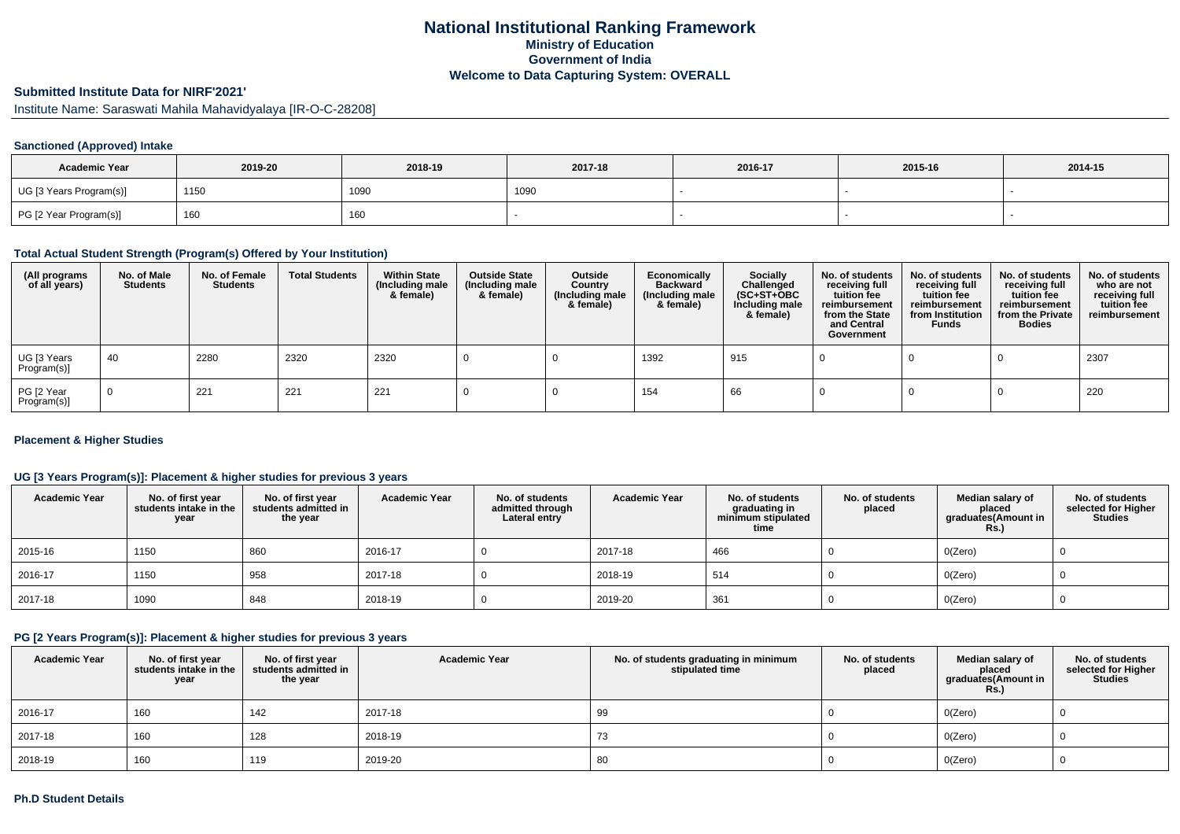## **National Institutional Ranking FrameworkMinistry of Education Government of IndiaWelcome to Data Capturing System: OVERALL**

# **Submitted Institute Data for NIRF'2021'**

Institute Name: Saraswati Mahila Mahavidyalaya [IR-O-C-28208]

## **Sanctioned (Approved) Intake**

| <b>Academic Year</b>    | 2019-20 | 2018-19 | 2017-18 | 2016-17 | 2015-16 | 2014-15 |
|-------------------------|---------|---------|---------|---------|---------|---------|
| UG [3 Years Program(s)] | 1150    | 1090    | 1090    |         |         |         |
| PG [2 Year Program(s)]  | 160     | 160     |         |         |         |         |

### **Total Actual Student Strength (Program(s) Offered by Your Institution)**

| (All programs<br>of all years) | No. of Male<br><b>Students</b> | No. of Female<br>Students | <b>Total Students</b> | <b>Within State</b><br>(Including male<br>& female) | <b>Outside State</b><br>(Including male<br>& female) | Outside<br>Country<br>(Including male<br>& female) | Economically<br><b>Backward</b><br>(Including male<br>& female) | <b>Socially</b><br>Challenged<br>$(SC+ST+OBC)$<br>Including male<br>& female) | No. of students<br>receiving full<br>tuition fee<br>reimbursement<br>from the State<br>and Central<br>Government | No. of students<br>receiving full<br>tuition fee<br>reimbursement<br>from Institution<br><b>Funds</b> | No. of students<br>receiving full<br>tuition fee<br>reimbursement<br>from the Private<br><b>Bodies</b> | No. of students<br>who are not<br>receiving full<br>tuition fee<br>reimbursement |
|--------------------------------|--------------------------------|---------------------------|-----------------------|-----------------------------------------------------|------------------------------------------------------|----------------------------------------------------|-----------------------------------------------------------------|-------------------------------------------------------------------------------|------------------------------------------------------------------------------------------------------------------|-------------------------------------------------------------------------------------------------------|--------------------------------------------------------------------------------------------------------|----------------------------------------------------------------------------------|
| UG [3 Years<br>Program(s)]     | -40                            | 2280                      | 2320                  | 2320                                                |                                                      |                                                    | 1392                                                            | 915                                                                           |                                                                                                                  |                                                                                                       |                                                                                                        | 2307                                                                             |
| PG [2 Year<br>Program(s)]      | $\overline{0}$                 | 221                       | 221                   | 221                                                 |                                                      |                                                    | 154                                                             | 66                                                                            |                                                                                                                  |                                                                                                       |                                                                                                        | 220                                                                              |

## **Placement & Higher Studies**

## **UG [3 Years Program(s)]: Placement & higher studies for previous 3 years**

| <b>Academic Year</b> | No. of first year<br>students intake in the<br>year | No. of first year<br>students admitted in<br>the year | <b>Academic Year</b> | No. of students<br>admitted through<br>Lateral entry | <b>Academic Year</b> | No. of students<br>graduating in<br>minimum stipulated<br>time | No. of students<br>placed | Median salary of<br>placed<br>graduates(Amount in<br><b>Rs.)</b> | No. of students<br>selected for Higher<br><b>Studies</b> |
|----------------------|-----------------------------------------------------|-------------------------------------------------------|----------------------|------------------------------------------------------|----------------------|----------------------------------------------------------------|---------------------------|------------------------------------------------------------------|----------------------------------------------------------|
| 2015-16              | 1150                                                | 860                                                   | 2016-17              |                                                      | 2017-18              | 466                                                            |                           | O(Zero)                                                          |                                                          |
| $ 2016-17$           | 1150                                                | 958                                                   | 2017-18              |                                                      | 2018-19              | 514                                                            |                           | O(Zero)                                                          |                                                          |
| 2017-18              | 1090                                                | 848                                                   | 2018-19              |                                                      | 2019-20              | 361                                                            |                           | O(Zero)                                                          |                                                          |

## **PG [2 Years Program(s)]: Placement & higher studies for previous 3 years**

| <b>Academic Year</b> | No. of first year<br>students intake in the<br>year | No. of first year<br>students admitted in<br>the year | <b>Academic Year</b> | No. of students graduating in minimum<br>stipulated time | No. of students<br>placed | Median salary of<br>placed<br>graduates(Amount in<br><b>Rs.)</b> | No. of students<br>selected for Higher<br><b>Studies</b> |
|----------------------|-----------------------------------------------------|-------------------------------------------------------|----------------------|----------------------------------------------------------|---------------------------|------------------------------------------------------------------|----------------------------------------------------------|
| 2016-17              | 160                                                 | 142                                                   | 2017-18              | 99                                                       |                           | O(Zero)                                                          |                                                          |
| 2017-18              | 160                                                 | 128                                                   | 2018-19              | 73                                                       |                           | O(Zero)                                                          |                                                          |
| 2018-19              | 160                                                 | 119                                                   | 2019-20              | 80                                                       |                           | O(Zero)                                                          |                                                          |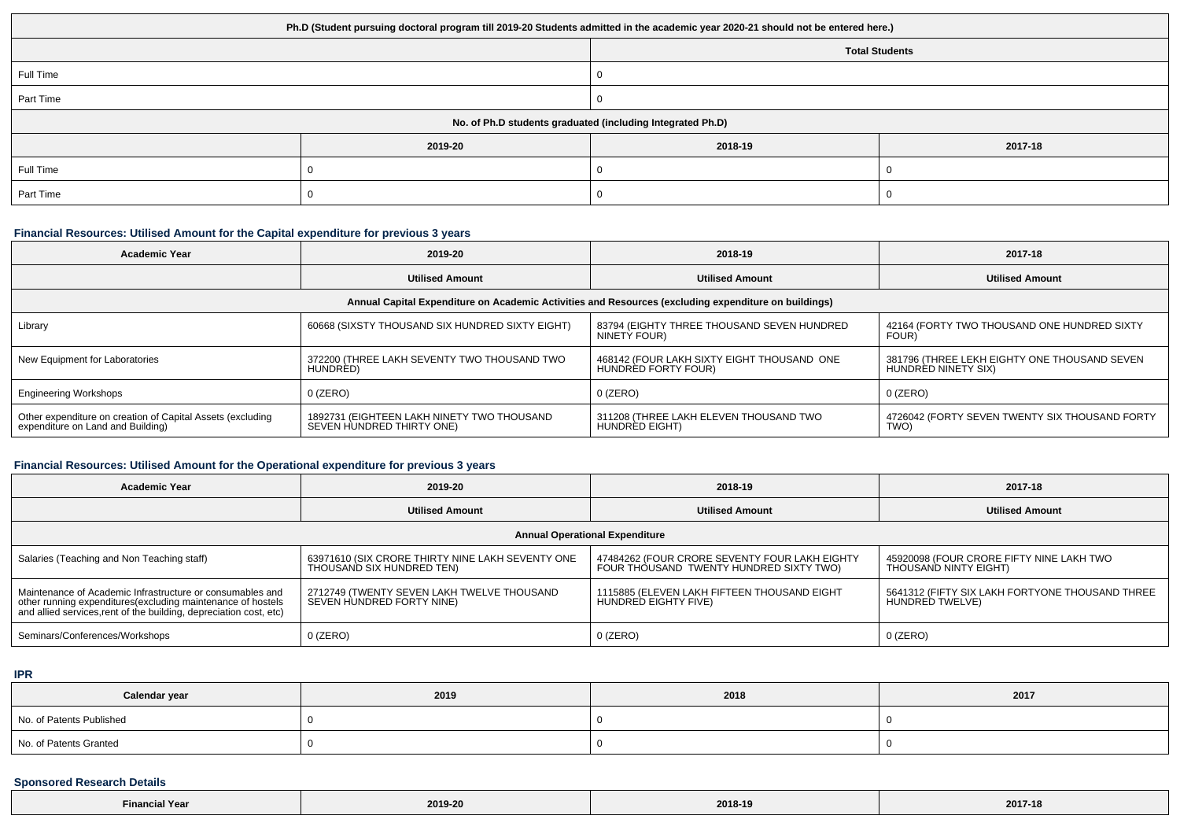| Ph.D (Student pursuing doctoral program till 2019-20 Students admitted in the academic year 2020-21 should not be entered here.) |                       |         |         |  |  |  |
|----------------------------------------------------------------------------------------------------------------------------------|-----------------------|---------|---------|--|--|--|
|                                                                                                                                  | <b>Total Students</b> |         |         |  |  |  |
| Full Time                                                                                                                        |                       |         |         |  |  |  |
| Part Time                                                                                                                        |                       |         |         |  |  |  |
| No. of Ph.D students graduated (including Integrated Ph.D)                                                                       |                       |         |         |  |  |  |
|                                                                                                                                  | 2019-20               | 2018-19 | 2017-18 |  |  |  |
| Full Time                                                                                                                        |                       |         |         |  |  |  |
| Part Time                                                                                                                        |                       |         |         |  |  |  |

## **Financial Resources: Utilised Amount for the Capital expenditure for previous 3 years**

| <b>Academic Year</b>                                                                                 | 2019-20                                                                 | 2018-19                                                           | 2017-18                                                             |  |  |  |  |
|------------------------------------------------------------------------------------------------------|-------------------------------------------------------------------------|-------------------------------------------------------------------|---------------------------------------------------------------------|--|--|--|--|
|                                                                                                      | <b>Utilised Amount</b>                                                  | <b>Utilised Amount</b>                                            | <b>Utilised Amount</b>                                              |  |  |  |  |
| Annual Capital Expenditure on Academic Activities and Resources (excluding expenditure on buildings) |                                                                         |                                                                   |                                                                     |  |  |  |  |
| Library                                                                                              | 60668 (SIXSTY THOUSAND SIX HUNDRED SIXTY EIGHT)                         | 83794 (EIGHTY THREE THOUSAND SEVEN HUNDRED<br>NINETY FOUR)        | 42164 (FORTY TWO THOUSAND ONE HUNDRED SIXTY<br>FOUR)                |  |  |  |  |
| New Equipment for Laboratories                                                                       | 372200 (THREE LAKH SEVENTY TWO THOUSAND TWO<br>HUNDRED)                 | 468142 (FOUR LAKH SIXTY EIGHT THOUSAND ONE<br>HUNDRED FORTY FOUR) | 381796 (THREE LEKH EIGHTY ONE THOUSAND SEVEN<br>HUNDRED NINETY SIX) |  |  |  |  |
| <b>Engineering Workshops</b>                                                                         | $0$ (ZERO)                                                              | $0$ (ZERO)                                                        | $0$ (ZERO)                                                          |  |  |  |  |
| Other expenditure on creation of Capital Assets (excluding<br>expenditure on Land and Building)      | 1892731 (EIGHTEEN LAKH NINETY TWO THOUSAND<br>SEVEN HUNDRED THIRTY ONE) | 311208 (THREE LAKH ELEVEN THOUSAND TWO<br><b>HUNDRED EIGHT)</b>   | 4726042 (FORTY SEVEN TWENTY SIX THOUSAND FORTY<br>TWO)              |  |  |  |  |

# **Financial Resources: Utilised Amount for the Operational expenditure for previous 3 years**

| <b>Academic Year</b>                                                                                                                                                                            | 2019-20                                                                       | 2018-19                                                                                  | 2017-18                                                            |  |  |  |  |
|-------------------------------------------------------------------------------------------------------------------------------------------------------------------------------------------------|-------------------------------------------------------------------------------|------------------------------------------------------------------------------------------|--------------------------------------------------------------------|--|--|--|--|
|                                                                                                                                                                                                 | <b>Utilised Amount</b>                                                        | <b>Utilised Amount</b>                                                                   | <b>Utilised Amount</b>                                             |  |  |  |  |
| <b>Annual Operational Expenditure</b>                                                                                                                                                           |                                                                               |                                                                                          |                                                                    |  |  |  |  |
| Salaries (Teaching and Non Teaching staff)                                                                                                                                                      | 63971610 (SIX CRORE THIRTY NINE LAKH SEVENTY ONE<br>THOUSAND SIX HUNDRED TEN) | 47484262 (FOUR CRORE SEVENTY FOUR LAKH EIGHTY<br>FOUR THOUSAND TWENTY HUNDRED SIXTY TWO) | 45920098 (FOUR CRORE FIFTY NINE LAKH TWO<br>THOUSAND NINTY EIGHT)  |  |  |  |  |
| Maintenance of Academic Infrastructure or consumables and<br>other running expenditures (excluding maintenance of hostels<br>and allied services, rent of the building, depreciation cost, etc) | 2712749 (TWENTY SEVEN LAKH TWELVE THOUSAND<br>SEVEN HUNDRED FORTY NINE)       | 1115885 (ELEVEN LAKH FIFTEEN THOUSAND EIGHT<br>HUNDRED EIGHTY FIVE)                      | 5641312 (FIFTY SIX LAKH FORTYONE THOUSAND THREE<br>HUNDRED TWELVE) |  |  |  |  |
| Seminars/Conferences/Workshops                                                                                                                                                                  | $0$ (ZERO)                                                                    | $0$ (ZERO)                                                                               | 0 (ZERO)                                                           |  |  |  |  |

#### **IPR**

| Calendar year            | 2019 | 2018 | 2017 |
|--------------------------|------|------|------|
| No. of Patents Published |      |      |      |
| No. of Patents Granted   |      |      |      |

## **Sponsored Research Details**

| the property of the control of the control of the control of the control of the control of<br><b>Financial Year</b> | 2019-20 | 2018-19 | 2017-18 |
|---------------------------------------------------------------------------------------------------------------------|---------|---------|---------|
|---------------------------------------------------------------------------------------------------------------------|---------|---------|---------|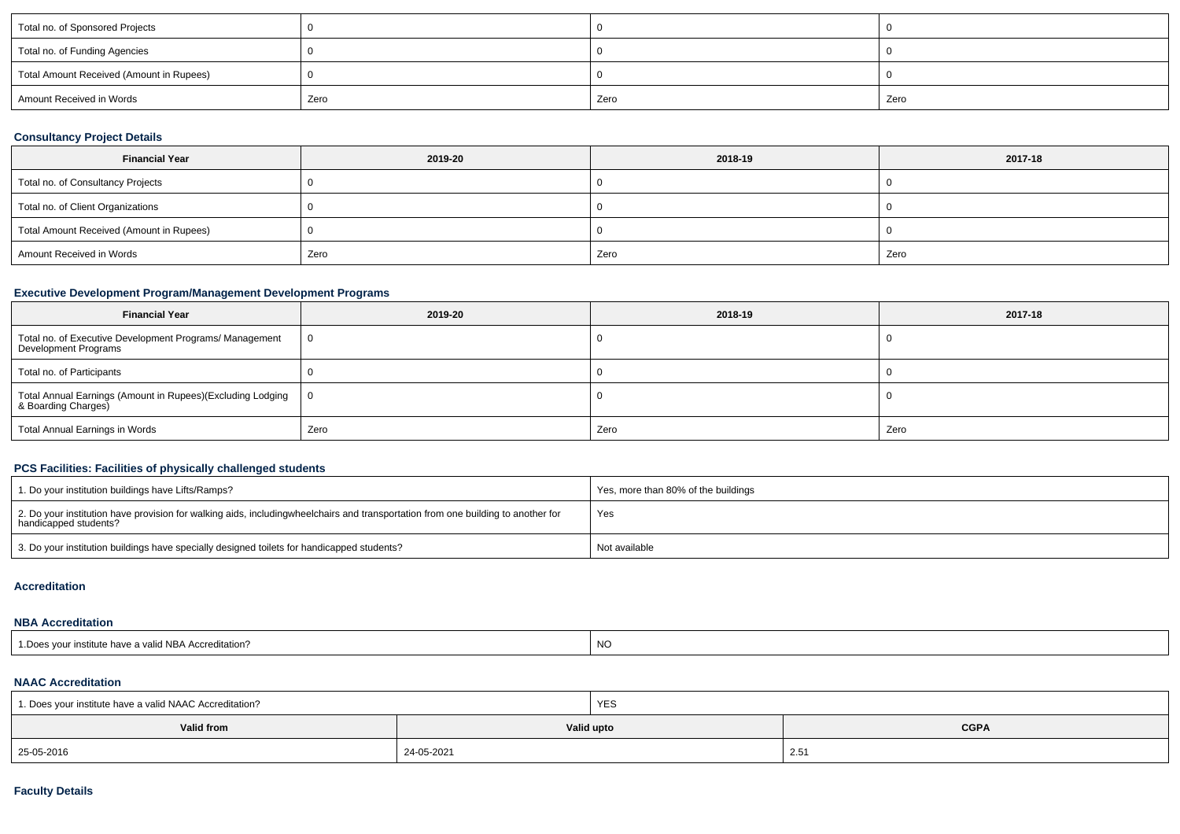| Total no. of Sponsored Projects          |      |      |      |
|------------------------------------------|------|------|------|
| Total no. of Funding Agencies            |      |      |      |
| Total Amount Received (Amount in Rupees) |      |      |      |
| Amount Received in Words                 | Zero | Zero | Zero |

## **Consultancy Project Details**

| <b>Financial Year</b>                    | 2019-20 | 2018-19 | 2017-18 |
|------------------------------------------|---------|---------|---------|
| Total no. of Consultancy Projects        |         |         |         |
| Total no. of Client Organizations        |         |         |         |
| Total Amount Received (Amount in Rupees) |         |         |         |
| Amount Received in Words                 | Zero    | Zero    | Zero    |

## **Executive Development Program/Management Development Programs**

| <b>Financial Year</b>                                                             | 2019-20        | 2018-19 | 2017-18 |
|-----------------------------------------------------------------------------------|----------------|---------|---------|
| Total no. of Executive Development Programs/ Management<br>Development Programs   | $\overline{0}$ |         |         |
| Total no. of Participants                                                         |                |         |         |
| Total Annual Earnings (Amount in Rupees)(Excluding Lodging<br>& Boarding Charges) | ΙO             |         |         |
| Total Annual Earnings in Words                                                    | Zero           | Zero    | Zero    |

## **PCS Facilities: Facilities of physically challenged students**

| 1. Do your institution buildings have Lifts/Ramps?                                                                                                        | Yes, more than 80% of the buildings |
|-----------------------------------------------------------------------------------------------------------------------------------------------------------|-------------------------------------|
| 2. Do your institution have provision for walking aids, includingwheelchairs and transportation from one building to another for<br>handicapped students? | Yes                                 |
| 3. Do your institution buildings have specially designed toilets for handicapped students?                                                                | Not available                       |

### **Accreditation**

## **NBA Accreditation**

| 1. Does your institute have a valid NBA Accreditation? | <b>NC</b> |
|--------------------------------------------------------|-----------|
|--------------------------------------------------------|-----------|

### **NAAC Accreditation**

| 1. Does your institute have a valid NAAC Accreditation? |  | <b>YES</b> |             |  |  |  |
|---------------------------------------------------------|--|------------|-------------|--|--|--|
| Valid from                                              |  | Valid upto | <b>CGPA</b> |  |  |  |
| 25-05-2016<br>24-05-2021                                |  |            | 2.51        |  |  |  |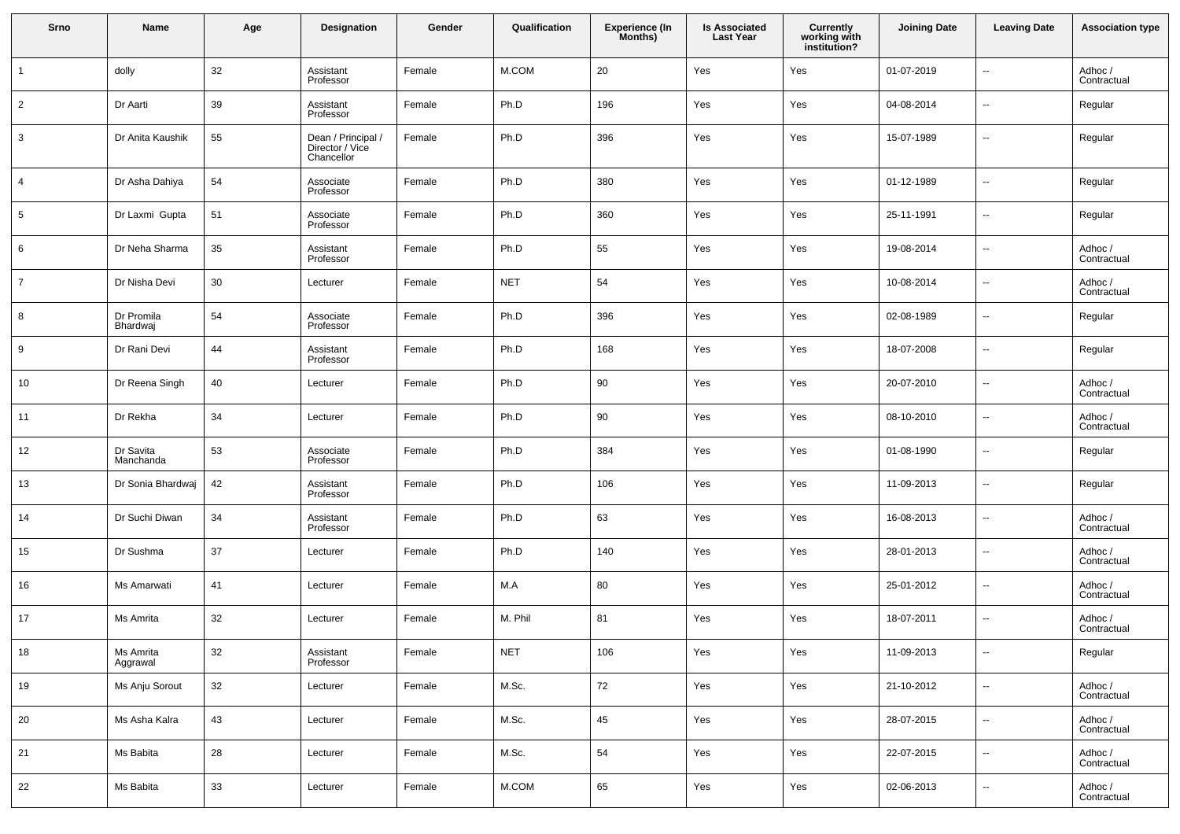| Srno            | Name                   | Age | Designation                                         | Gender | Qualification | Experience (In<br>Months) | <b>Is Associated</b><br><b>Last Year</b> | <b>Currently</b><br>working with<br>institution? | <b>Joining Date</b> | <b>Leaving Date</b>      | <b>Association type</b> |
|-----------------|------------------------|-----|-----------------------------------------------------|--------|---------------|---------------------------|------------------------------------------|--------------------------------------------------|---------------------|--------------------------|-------------------------|
| $\overline{1}$  | dolly                  | 32  | Assistant<br>Professor                              | Female | M.COM         | 20                        | Yes                                      | Yes                                              | 01-07-2019          | Ξ.                       | Adhoc /<br>Contractual  |
| $\overline{2}$  | Dr Aarti               | 39  | Assistant<br>Professor                              | Female | Ph.D          | 196                       | Yes                                      | Yes                                              | 04-08-2014          | Ξ.                       | Regular                 |
| $\mathbf{3}$    | Dr Anita Kaushik       | 55  | Dean / Principal /<br>Director / Vice<br>Chancellor | Female | Ph.D          | 396                       | Yes                                      | Yes                                              | 15-07-1989          | --                       | Regular                 |
| $\overline{4}$  | Dr Asha Dahiya         | 54  | Associate<br>Professor                              | Female | Ph.D          | 380                       | Yes                                      | Yes                                              | 01-12-1989          | --                       | Regular                 |
| $5\phantom{.0}$ | Dr Laxmi Gupta         | 51  | Associate<br>Professor                              | Female | Ph.D          | 360                       | Yes                                      | Yes                                              | 25-11-1991          | --                       | Regular                 |
| 6               | Dr Neha Sharma         | 35  | Assistant<br>Professor                              | Female | Ph.D          | 55                        | Yes                                      | Yes                                              | 19-08-2014          | --                       | Adhoc /<br>Contractual  |
| $\overline{7}$  | Dr Nisha Devi          | 30  | Lecturer                                            | Female | <b>NET</b>    | 54                        | Yes                                      | Yes                                              | 10-08-2014          | --                       | Adhoc /<br>Contractual  |
| 8               | Dr Promila<br>Bhardwaj | 54  | Associate<br>Professor                              | Female | Ph.D          | 396                       | Yes                                      | Yes                                              | 02-08-1989          | --                       | Regular                 |
| 9               | Dr Rani Devi           | 44  | Assistant<br>Professor                              | Female | Ph.D          | 168                       | Yes                                      | Yes                                              | 18-07-2008          | --                       | Regular                 |
| 10              | Dr Reena Singh         | 40  | Lecturer                                            | Female | Ph.D          | 90                        | Yes                                      | Yes                                              | 20-07-2010          | --                       | Adhoc /<br>Contractual  |
| 11              | Dr Rekha               | 34  | Lecturer                                            | Female | Ph.D          | 90                        | Yes                                      | Yes                                              | 08-10-2010          | --                       | Adhoc /<br>Contractual  |
| 12              | Dr Savita<br>Manchanda | 53  | Associate<br>Professor                              | Female | Ph.D          | 384                       | Yes                                      | Yes                                              | 01-08-1990          | --                       | Regular                 |
| 13              | Dr Sonia Bhardwaj      | 42  | Assistant<br>Professor                              | Female | Ph.D          | 106                       | Yes                                      | Yes                                              | 11-09-2013          | --                       | Regular                 |
| 14              | Dr Suchi Diwan         | 34  | Assistant<br>Professor                              | Female | Ph.D          | 63                        | Yes                                      | Yes                                              | 16-08-2013          | --                       | Adhoc /<br>Contractual  |
| 15              | Dr Sushma              | 37  | Lecturer                                            | Female | Ph.D          | 140                       | Yes                                      | Yes                                              | 28-01-2013          | --                       | Adhoc /<br>Contractual  |
| 16              | Ms Amarwati            | 41  | Lecturer                                            | Female | M.A           | 80                        | Yes                                      | Yes                                              | 25-01-2012          | --                       | Adhoc /<br>Contractual  |
| 17              | Ms Amrita              | 32  | Lecturer                                            | Female | M. Phil       | 81                        | Yes                                      | Yes                                              | 18-07-2011          | --                       | Adhoc /<br>Contractual  |
| 18              | Ms Amrita<br>Aggrawal  | 32  | Assistant<br>Professor                              | Female | <b>NET</b>    | 106                       | Yes                                      | Yes                                              | 11-09-2013          | $\overline{\phantom{a}}$ | Regular                 |
| 19              | Ms Anju Sorout         | 32  | Lecturer                                            | Female | M.Sc.         | 72                        | Yes                                      | Yes                                              | 21-10-2012          | Ξ.                       | Adhoc /<br>Contractual  |
| 20              | Ms Asha Kalra          | 43  | Lecturer                                            | Female | M.Sc.         | 45                        | Yes                                      | Yes                                              | 28-07-2015          | $\overline{\phantom{a}}$ | Adhoc /<br>Contractual  |
| 21              | Ms Babita              | 28  | Lecturer                                            | Female | M.Sc.         | 54                        | Yes                                      | Yes                                              | 22-07-2015          | $\sim$                   | Adhoc /<br>Contractual  |
| 22              | Ms Babita              | 33  | Lecturer                                            | Female | M.COM         | 65                        | Yes                                      | Yes                                              | 02-06-2013          | --                       | Adhoc /<br>Contractual  |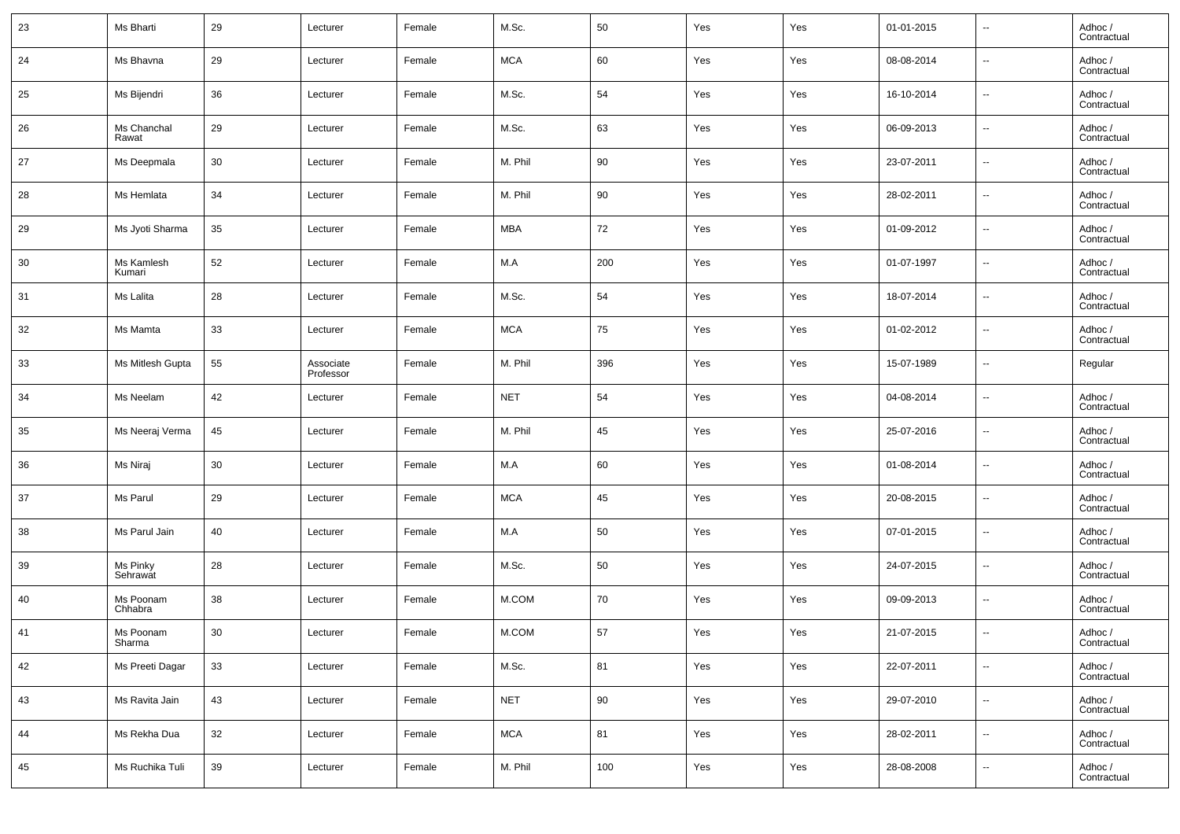| 23 | Ms Bharti            | 29     | Lecturer               | Female | M.Sc.      | 50  | Yes | Yes | 01-01-2015 | $\overline{\phantom{a}}$ | Adhoc /<br>Contractual |
|----|----------------------|--------|------------------------|--------|------------|-----|-----|-----|------------|--------------------------|------------------------|
| 24 | Ms Bhavna            | 29     | Lecturer               | Female | <b>MCA</b> | 60  | Yes | Yes | 08-08-2014 | $\overline{\phantom{a}}$ | Adhoc /<br>Contractual |
| 25 | Ms Bijendri          | 36     | Lecturer               | Female | M.Sc.      | 54  | Yes | Yes | 16-10-2014 | $\sim$                   | Adhoc /<br>Contractual |
| 26 | Ms Chanchal<br>Rawat | 29     | Lecturer               | Female | M.Sc.      | 63  | Yes | Yes | 06-09-2013 | $\overline{\phantom{a}}$ | Adhoc /<br>Contractual |
| 27 | Ms Deepmala          | 30     | Lecturer               | Female | M. Phil    | 90  | Yes | Yes | 23-07-2011 | $\sim$                   | Adhoc /<br>Contractual |
| 28 | Ms Hemlata           | 34     | Lecturer               | Female | M. Phil    | 90  | Yes | Yes | 28-02-2011 | $\overline{\phantom{a}}$ | Adhoc /<br>Contractual |
| 29 | Ms Jyoti Sharma      | 35     | Lecturer               | Female | <b>MBA</b> | 72  | Yes | Yes | 01-09-2012 | $\sim$                   | Adhoc /<br>Contractual |
| 30 | Ms Kamlesh<br>Kumari | 52     | Lecturer               | Female | M.A        | 200 | Yes | Yes | 01-07-1997 | $\overline{\phantom{a}}$ | Adhoc /<br>Contractual |
| 31 | Ms Lalita            | 28     | Lecturer               | Female | M.Sc.      | 54  | Yes | Yes | 18-07-2014 | $\sim$                   | Adhoc /<br>Contractual |
| 32 | Ms Mamta             | 33     | Lecturer               | Female | <b>MCA</b> | 75  | Yes | Yes | 01-02-2012 | $\overline{\phantom{a}}$ | Adhoc /<br>Contractual |
| 33 | Ms Mitlesh Gupta     | 55     | Associate<br>Professor | Female | M. Phil    | 396 | Yes | Yes | 15-07-1989 | $\overline{\phantom{a}}$ | Regular                |
| 34 | Ms Neelam            | 42     | Lecturer               | Female | <b>NET</b> | 54  | Yes | Yes | 04-08-2014 | $\sim$                   | Adhoc /<br>Contractual |
| 35 | Ms Neeraj Verma      | 45     | Lecturer               | Female | M. Phil    | 45  | Yes | Yes | 25-07-2016 | $\overline{\phantom{a}}$ | Adhoc /<br>Contractual |
| 36 | Ms Niraj             | 30     | Lecturer               | Female | M.A        | 60  | Yes | Yes | 01-08-2014 | $\sim$                   | Adhoc /<br>Contractual |
| 37 | Ms Parul             | 29     | Lecturer               | Female | <b>MCA</b> | 45  | Yes | Yes | 20-08-2015 | $\overline{\phantom{a}}$ | Adhoc /<br>Contractual |
| 38 | Ms Parul Jain        | 40     | Lecturer               | Female | M.A        | 50  | Yes | Yes | 07-01-2015 | $\sim$                   | Adhoc /<br>Contractual |
| 39 | Ms Pinky<br>Sehrawat | 28     | Lecturer               | Female | M.Sc.      | 50  | Yes | Yes | 24-07-2015 | $\overline{\phantom{a}}$ | Adhoc /<br>Contractual |
| 40 | Ms Poonam<br>Chhabra | 38     | Lecturer               | Female | M.COM      | 70  | Yes | Yes | 09-09-2013 | $\overline{\phantom{a}}$ | Adhoc /<br>Contractual |
| 41 | Ms Poonam<br>Sharma  | 30     | Lecturer               | Female | M.COM      | 57  | Yes | Yes | 21-07-2015 | $\overline{\phantom{a}}$ | Adhoc /<br>Contractual |
| 42 | Ms Preeti Dagar      | $33\,$ | Lecturer               | Female | M.Sc.      | 81  | Yes | Yes | 22-07-2011 | $\overline{\phantom{a}}$ | Adhoc /<br>Contractual |
| 43 | Ms Ravita Jain       | 43     | Lecturer               | Female | <b>NET</b> | 90  | Yes | Yes | 29-07-2010 | $\overline{\phantom{a}}$ | Adhoc /<br>Contractual |
| 44 | Ms Rekha Dua         | 32     | Lecturer               | Female | <b>MCA</b> | 81  | Yes | Yes | 28-02-2011 | $\overline{\phantom{a}}$ | Adhoc /<br>Contractual |
| 45 | Ms Ruchika Tuli      | 39     | Lecturer               | Female | M. Phil    | 100 | Yes | Yes | 28-08-2008 | $\overline{\phantom{a}}$ | Adhoc /<br>Contractual |